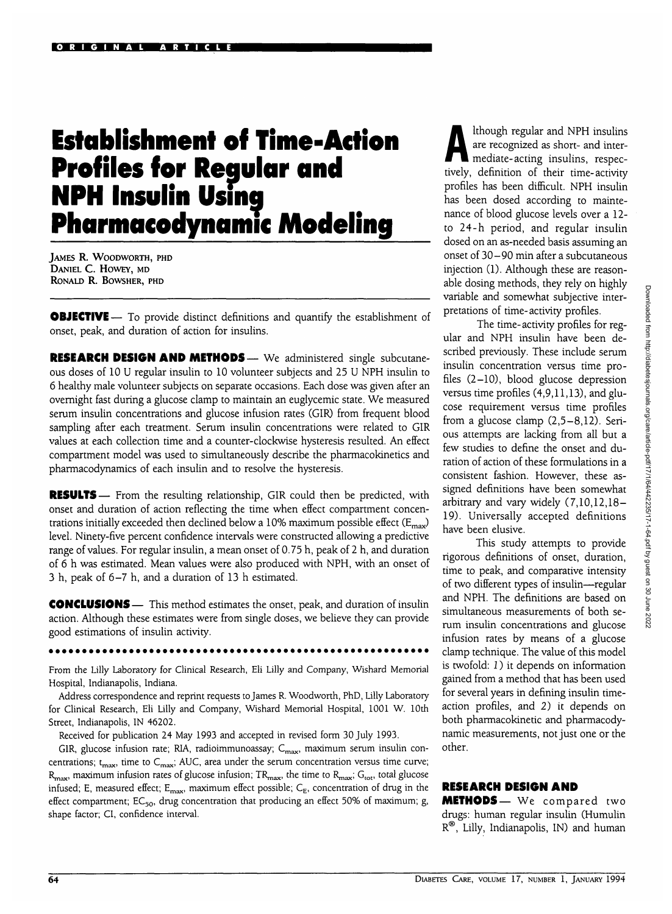# **Establishment of Time-Action Profiles for Regular and NPH Insulin Using Pharmacodynamic Modeling**

JAMES R. WOODWORTH, PHD DANIEL C. HOWEY, MD RONALD R. BOWSHER, PHD

**OBJECTIVE** — To provide distinct definitions and quantify the establishment of onset, peak, and duration of action for insulins.

RESEARCH DESIGN AND METHODS— We administered single subcutaneous doses of 10 U regular insulin to 10 volunteer subjects and 25 U NPH insulin to 6 healthy male volunteer subjects on separate occasions. Each dose was given after an overnight fast during a glucose clamp to maintain an euglycemic state. We measured serum insulin concentrations and glucose infusion rates (GIR) from frequent blood sampling after each treatment. Serum insulin concentrations were related to GIR values at each collection time and a counter-clockwise hysteresis resulted. An effect compartment model was used to simultaneously describe the pharmacokinetics and pharmacodynamics of each insulin and to resolve the hysteresis.

**RESULTS**— From the resulting relationship, GIR could then be predicted, with onset and duration of action reflecting the time when effect compartment concentrations initially exceeded then declined below a 10% maximum possible effect ( $E_{\text{max}}$ ) level. Ninety-five percent confidence intervals were constructed allowing a predictive range of values. For regular insulin, a mean onset of 0.75 h, peak of 2 h, and duration of 6 h was estimated. Mean values were also produced with NPH, with an onset of 3 h, peak of 6-7 h, and a duration of 13 h estimated.

CONCLUSIONS — This method estimates the onset, peak, and duration of insulin action. Although these estimates were from single doses, we believe they can provide good estimations of insulin activity.

From the Lilly Laboratory for Clinical Research, Eli Lilly and Company, Wishard Memorial Hospital, Indianapolis, Indiana.

Address correspondence and reprint requests to James R. Woodworth, PhD, Lilly Laboratory for Clinical Research, Eli Lilly and Company, Wishard Memorial Hospital, 1001 W. 10th Street, Indianapolis, IN 46202.

Received for publication 24 May 1993 and accepted in revised form 30 July 1993.

GIR, glucose infusion rate; RIA, radioimmunoassay;  $C_{\text{max}}$ , maximum serum insulin concentrations;  $t_{\text{max}}$ , time to  $C_{\text{max}}$ ; AUC, area under the serum concentration versus time curve;  $R_{\text{max}}$ , maximum infusion rates of glucose infusion; TR<sub>max</sub>, the time to  $R_{\text{max}}$ ; G<sub>tot</sub>, total glucose infused; E, measured effect;  $E_{\text{max}}$ , maximum effect possible;  $C_{E}$ , concentration of drug in the effect compartment;  $EC_{50}$ , drug concentration that producing an effect 50% of maximum; g, shape factor; Cl, confidence interval.

Ithough regular and NPH insulins<br>are recognized as short- and inter-<br>mediate-acting insulins, respecare recognized as short- and intermediate-acting insulins, respectively, definition of their time-activity profiles has been difficult. NPH insulin has been dosed according to maintenance of blood glucose levels over a 12 to 24-h period, and regular insulin dosed on an as-needed basis assuming an onset of 30-90 min after a subcutaneous injection (1). Although these are reasonable dosing methods, they rely on highly variable and somewhat subjective interpretations of time-activity profiles.

The time-activity profiles for regular and NPH insulin have been described previously. These include serum insulin concentration versus time profiles (2-10), blood glucose depression versus time profiles (4,9,11,13), and glucose requirement versus time profiles from a glucose clamp (2,5-8,12). Serious attempts are lacking from all but a few studies to define the onset and duration of action of these formulations in a consistent fashion. However, these assigned definitions have been somewhat arbitrary and vary widely (7,10,12,18- 19). Universally accepted definitions have been elusive.

This study attempts to provide rigorous definitions of onset, duration, time to peak, and comparative intensity of two different types of insulin—regular and NPH. The definitions are based on simultaneous measurements of both serum insulin concentrations and glucose infusion rates by means of a glucose clamp technique. The value of this model is twofold: *1*) it depends on information gained from a method that has been used for several years in defining insulin timeaction profiles, and 2) it depends on both pharmacokinetic and pharmacodynamic measurements, not just one or the other.

#### **RESEARCH DESIGN AND**

METHODS— We compared two drugs: human regular insulin (Humulin R®, Lilly, Indianapolis, IN) and human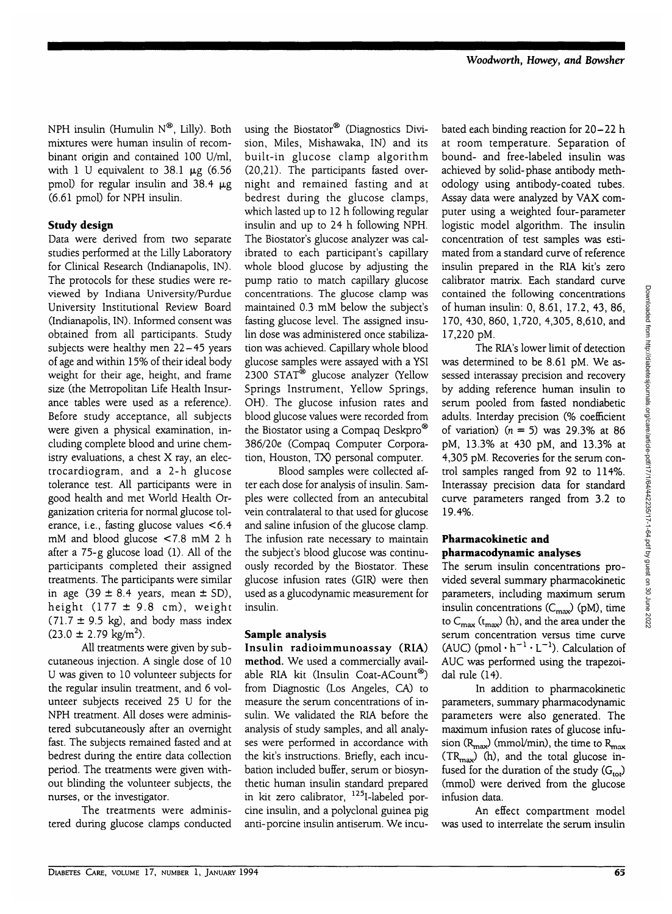NPH insulin (Humulin  $N^{\mathfrak{B}}$ , Lilly). Both mixtures were human insulin of recombinant origin and contained 100 U/ml, with 1 U equivalent to  $38.1 \mu$ g (6.56 pmol) for regular insulin and  $38.4 \mu g$ (6.61 pmol) for NPH insulin.

## **Study design**

Data were derived from two separate studies performed at the Lilly Laboratory for Clinical Research (Indianapolis, IN). The protocols for these studies were reviewed by Indiana University/Purdue University Institutional Review Board (Indianapolis, IN). Informed consent was obtained from all participants. Study subjects were healthy men 22—45 years of age and within 15% of their ideal body weight for their age, height, and frame size (the Metropolitan Life Health Insurance tables were used as a reference). Before study acceptance, all subjects were given a physical examination, including complete blood and urine chemistry evaluations, a chest X ray, an electrocardiogram, and a 2-h glucose tolerance test. All participants were in good health and met World Health Organization criteria for normal glucose tolerance, i.e., fasting glucose values <6.4 mM and blood glucose <7.8 mM 2 h after a 75-g glucose load (1). All of the participants completed their assigned treatments. The participants were similar in age  $(39 \pm 8.4 \text{ years}, \text{ mean } \pm \text{ SD})$ , height  $(177 \pm 9.8 \text{ cm})$ , weight  $(71.7 \pm 9.5 \text{ kg})$ , and body mass index  $(23.0 \pm 2.79 \text{ kg/m}^2)$ .

All treatments were given by subcutaneous injection. A single dose of 10 U was given to 10 volunteer subjects for the regular insulin treatment, and 6 volunteer subjects received 25 U for the NPH treatment. All doses were administered subcutaneously after an overnight fast. The subjects remained fasted and at bedrest during the entire data collection period. The treatments were given without blinding the volunteer subjects, the nurses, or the investigator.

The treatments were administered during glucose clamps conducted using the Biostator® (Diagnostics Division, Miles, Mishawaka, IN) and its built-in glucose clamp algorithm (20,21). The participants fasted overnight and remained fasting and at bedrest during the glucose clamps, which lasted up to 12 h following regular insulin and up to 24 h following NPH. The Biostator's glucose analyzer was calibrated to each participant's capillary whole blood glucose by adjusting the pump ratio to match capillary glucose concentrations. The glucose clamp was maintained 0.3 mM below the subject's fasting glucose level. The assigned insulin dose was administered once stabilization was achieved. Capillary whole blood glucose samples were assayed with a YSI 2300 STAT® glucose analyzer (Yellow Springs Instrument, Yellow Springs, OH). The glucose infusion rates and blood glucose values were recorded from the Biostator using a Compaq Deskpro® 386/20e (Compaq Computer Corporation, Houston, TX) personal computer.

Blood samples were collected after each dose for analysis of insulin. Samples were collected from an antecubital vein contralateral to that used for glucose and saline infusion of the glucose clamp. The infusion rate necessary to maintain the subject's blood glucose was continuously recorded by the Biostator. These glucose infusion rates (GIR) were then used as a glucodynamic measurement for insulin.

### **Sample analysis**

Insulin radioimmunoassay (RIA) method. We used a commercially available RIA kit (Insulin Coat-ACount®) from Diagnostic (Los Angeles, CA) to measure the serum concentrations of insulin. We validated the RIA before the analysis of study samples, and all analyses were performed in accordance with the kit's instructions. Briefly, each incubation included buffer, serum or biosynthetic human insulin standard prepared in kit zero calibrator, 125I-labeled porcine insulin, and a polyclonal guinea pig anti-porcine insulin antiserum. We incubated each binding reaction for 20-22 h at room temperature. Separation of bound- and free-labeled insulin was achieved by solid-phase antibody methodology using antibody-coated tubes. Assay data were analyzed by VAX computer using a weighted four-parameter logistic model algorithm. The insulin concentration of test samples was estimated from a standard curve of reference insulin prepared in the RIA kit's zero calibrator matrix. Each standard curve contained the following concentrations of human insulin: 0, 8.61, 17.2, 43, 86, 170, 430, 860, 1,720, 4,305, 8,610, and 17,220 pM.

The RIA's lower limit of detection was determined to be 8.61 pM. We assessed interassay precision and recovery by adding reference human insulin to serum pooled from fasted nondiabetic adults. Interday precision (% coefficient of variation)  $(n = 5)$  was 29.3% at 86 pM, 13.3% at 430 pM, and 13.3% at 4,305 pM. Recoveries for the serum control samples ranged from 92 to 114%. Interassay precision data for standard curve parameters ranged from 3.2 to 19.4%.

#### **Pharmacokinetic and pharmacodynamic analyses**

The serum insulin concentrations provided several summary pharmacokinetic parameters, including maximum serum insulin concentrations  $(C_{\text{max}})$  (pM), time to  $C_{\text{max}}$  ( $t_{\text{max}}$ ) (h), and the area under the serum concentration versus time curve (AUC) (pmol  $\cdot h^{-1} \cdot L^{-1}$ ). Calculation of AUC was performed using the trapezoidal rule (14).

In addition to pharmacokinetic parameters, summary pharmacodynamic parameters were also generated. The maximum infusion rates of glucose infusion  $(R_{\text{max}})$  (mmol/min), the time to  $R_{\text{max}}$  $(TR_{\text{max}})$  (h), and the total glucose infused for the duration of the study  $(G<sub>tot</sub>)$ (mmol) were derived from the glucose infusion data.

An effect compartment model was used to interrelate the serum insulin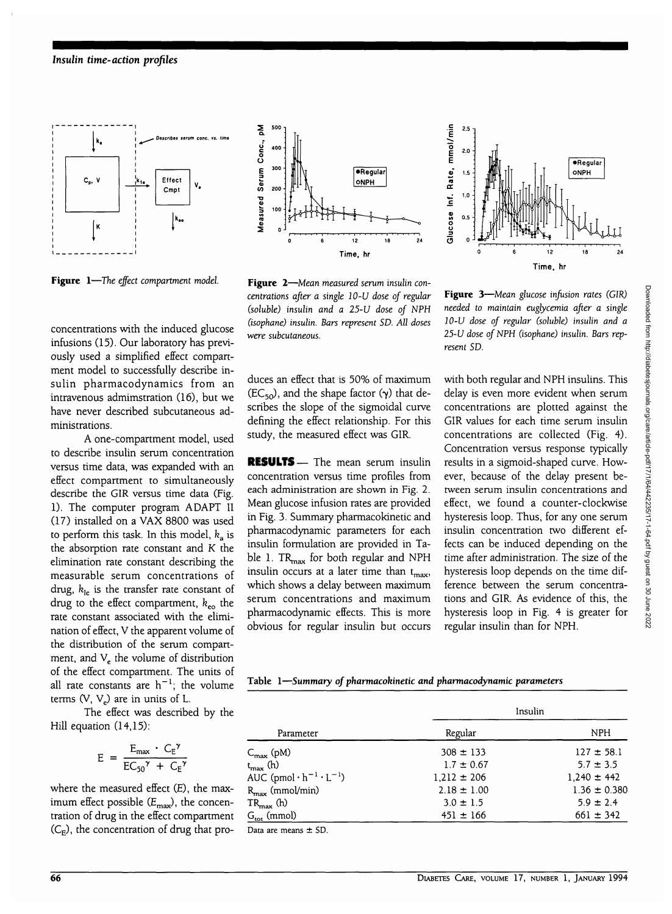

**Figure 1**—*The effect compartment model.*

concentrations with the induced glucose infusions (15). Our laboratory has previously used a simplified effect compartment model to successfully describe insulin pharmacodynamics from an intravenous admimstration (16), but we have never described subcutaneous administrations.

A one-compartment model, used to describe insulin serum concentration versus time data, was expanded with an effect compartment to simultaneously describe the G1R versus time data (Fig. 1). The computer program ADAPT II (17) installed on a VAX 8800 was used to perform this task. In this model,  $k_a$  is the absorption rate constant and K the elimination rate constant describing the measurable serum concentrations of drug,  $k_{\text{le}}$  is the transfer rate constant of drug to the effect compartment,  $k_{\text{eo}}$  the rate constant associated with the elimination of effect, V the apparent volume of the distribution of the serum compartment, and  $V_e$  the volume of distribution of the effect compartment. The units of all rate constants are  $h^{-1}$ ; the volume terms  $(V, V_e)$  are in units of L.

The effect was described by the Hill equation (14,15):

$$
E = \frac{E_{\text{max}} \cdot C_{E}^{\gamma}}{EC_{50}^{\gamma} + C_{F}^{\gamma}}
$$

where the measured effect (E), the maximum effect possible  $(E_{\text{max}})$ , the concentration of drug in the effect compartment  $(C_E)$ , the concentration of drug that pro-



**Figure 2**—*Mean measured serum insulin concentrations after a single 10-U dose of regular* (soluble) *insulin and a 25-U dose of NPH (isophane) insulin. Bars represent SD. All doses were subcutaneous.*

duces an effect that is 50% of maximum  $(EC_{50})$ , and the shape factor  $(\gamma)$  that describes the slope of the sigmoidal curve defining the effect relationship. For this study, the measured effect was GIR.

RESULTS— The mean serum insulin concentration versus time profiles from each administration are shown in Fig. 2. Mean glucose infusion rates are provided in Fig. 3. Summary pharmacokinetic and pharmacodynamic parameters for each insulin formulation are provided in Table 1.  $TR_{\text{max}}$  for both regular and NPH insulin occurs at a later time than  $t_{\text{max}}$ , which shows a delay between maximum serum concentrations and maximum pharmacodynamic effects. This is more obvious for regular insulin but occurs



**Figure 3**—*Mean glucose infusion rates (GIR) needed to maintain euglycemia after a single 10-U dose of regular (soluble) insulin and a 25-U dose of NPH (isophane) insulin. Bars represent* SD.

with both regular and NPH insulins. This delay is even more evident when serum concentrations are plotted against the GIR values for each time serum insulin concentrations are collected (Fig. 4). Concentration versus response typically results in a sigmoid-shaped curve. However, because of the delay present between serum insulin concentrations and effect, we found a counter-clockwise hysteresis loop. Thus, for any one serum insulin concentration two different effects can be induced depending on the time after administration. The size of the hysteresis loop depends on the time difference between the serum concentrations and GIR. As evidence of this, the hysteresis loop in Fig. 4 is greater for regular insulin than for NPH.

**Table 1—***Summary of pharmacokinetic and pharmacodynamic parameters*

| Parameter                               | Insulin         |                  |  |
|-----------------------------------------|-----------------|------------------|--|
|                                         | Regular         | <b>NPH</b>       |  |
| $C_{\text{max}}$ (pM)                   | $308 \pm 133$   | $127 \pm 58.1$   |  |
| t <sub>max</sub> (h)                    | $1.7 \pm 0.67$  | $5.7 \pm 3.5$    |  |
| AUC (pmol $\cdot h^{-1} \cdot L^{-1}$ ) | $1.212 \pm 206$ | $1,240 \pm 442$  |  |
| $R_{\text{max}}$ (mmol/min)             | $2.18 \pm 1.00$ | $1.36 \pm 0.380$ |  |
| $TR_{\text{max}}$ (h)                   | $3.0 \pm 1.5$   | $5.9 \pm 2.4$    |  |
| $G_{\text{tot}}$ (mmol)                 | $451 \pm 166$   | $661 \pm 342$    |  |
| $D0$ and magnet $+$ CD                  |                 |                  |  |

Data are means  $\pm$  SD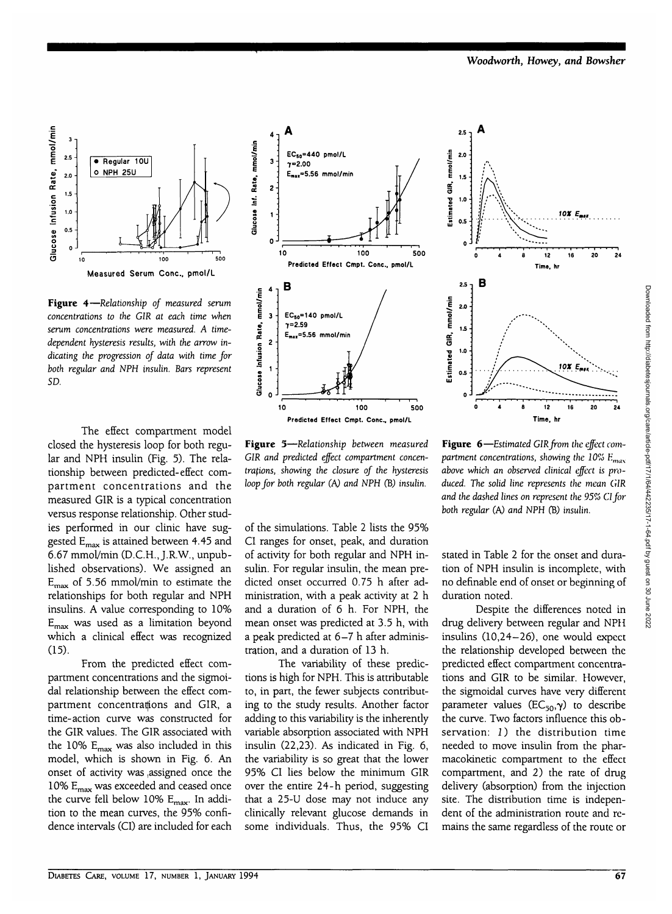*Woodworth, Howey, and Bowsher*



Figure 4-Relationship of measured serum **Figure 4**—Relationship of measured serum<br>concentrations to the GIR at each time when<br>serum concentrations were measured. A time-<br>dependent hysteresis results, with the arrow in-<br>dicating the progression of data with time *serum concentrations were measured. A timedependent hysteresis results, with the arrow indicating the progression of data with time for both regular and NPH insulin. Bars represent* SD.

The effect compartment model closed the hysteresis loop for both regular and NPH insulin (Fig. 5). The relationship between predicted-effect compartment concentrations and the measured GIR is a typical concentration versus response relationship. Other studies performed in our clinic have suggested Emax is attained between 4.45 and 6.67 mmol/min (D.C.H., J.R.W., unpublished observations). We assigned an  $E_{\text{max}}$  of 5.56 mmol/min to estimate the relationships for both regular and NPH insulins. A value corresponding to 10% Emax was used as a limitation beyond which a clinical effect was recognized (15).

From the predicted effect compartment concentrations and the sigmoidal relationship between the effect compartment concentrations and GIR, a time-action curve was constructed for the GIR values. The GIR associated with the 10%  $E_{\text{max}}$  was also included in this model, which is shown in Fig. 6. An onset of activity was ,assigned once the 10% Emax was exceeded and ceased once the curve fell below 10%  $E_{\text{max}}$ . In addition to the mean curves, the 95% confidence intervals (CI) are included for each



**Figure 5**—*Relationship between measured GIR and predicted effect compartment concentrations, showing the closure of the hysteresis loop for both regular (A) and NPH* (B) *insulin.*

of the simulations. Table 2 lists the 95% CI ranges for onset, peak, and duration of activity for both regular and NPH insulin. For regular insulin, the mean predicted onset occurred 0.75 h after administration, with a peak activity at 2 h and a duration of 6 h. For NPH, the mean onset was predicted at 3.5 h, with a peak predicted at 6-7 h after administration, and a duration of 13 h.

The variability of these predictions is high for NPH. This is attributable to, in part, the fewer subjects contributing to the study results. Another factor adding to this variability is the inherently variable absorption associated with NPH insulin (22,23). As indicated in Fig. 6, the variability is so great that the lower 95% CI lies below the minimum GIR over the entire 24-h period, suggesting that a 25-U dose may not induce any clinically relevant glucose demands in some individuals. Thus, the 95% CI



**Figure 6**—*Estimated GIR from the effect compartment concentrations, showing the 10% Emax above which an observed clinical effect is produced. The solid line represents the mean GIR and the dashed lines on represent the 95% Cl for both regular (A) and NPH* (B) *insulin.*

stated in Table 2 for the onset and duration of NPH insulin is incomplete, with no definable end of onset or beginning of duration noted.

Despite the differences noted in drug delivery between regular and NPH insulins (10,24-26), one would expect the relationship developed between the predicted effect compartment concentrations and GIR to be similar. However, the sigmoidal curves have very different parameter values ( $EC_{50}$ , $\gamma$ ) to describe the curve. Two factors influence this observation: 1) the distribution time needed to move insulin from the pharmacokinetic compartment to the effect compartment, and 2) the rate of drug delivery (absorption) from the injection site. The distribution time is independent of the administration route and remains the same regardless of the route or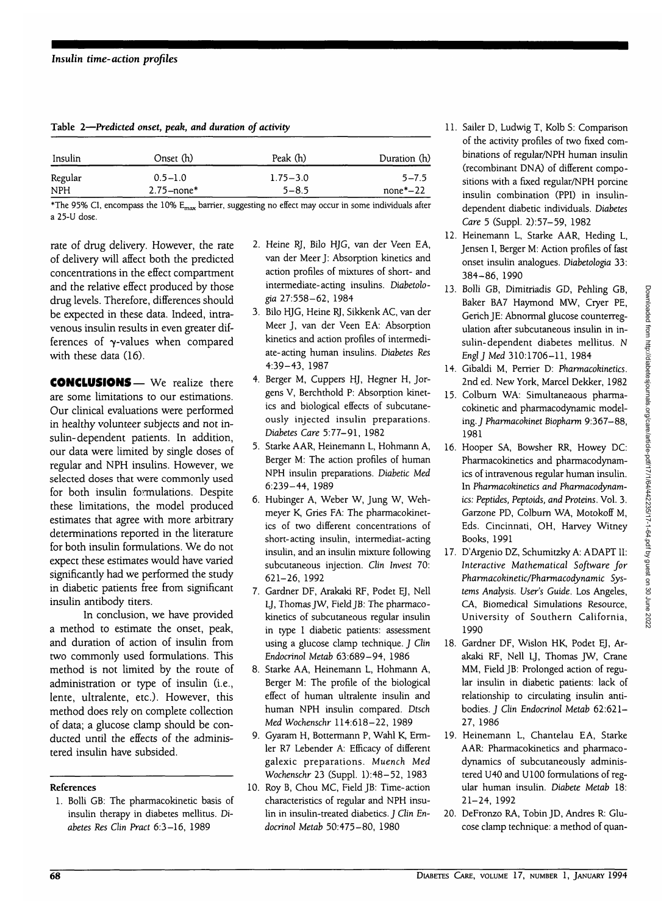|  | Table 2-Predicted onset, peak, and duration of activity |  |  |  |
|--|---------------------------------------------------------|--|--|--|
|--|---------------------------------------------------------|--|--|--|

| Insulin    | Onset (h)      | Peak (h)     | Duration (h) |
|------------|----------------|--------------|--------------|
| Regular    | $0.5 - 1.0$    | $1.75 - 3.0$ | $5 - 7.5$    |
| <b>NPH</b> | $2.75 - none*$ | $5 - 8.5$    | $none*-22$   |

\*The 95% CI, encompass the 10% E<sub>max</sub> barrier, suggesting no effect may occur in some individuals after a 25-U dose.

rate of drug delivery. However, the rate of delivery will affect both the predicted concentrations in the effect compartment and the relative effect produced by those drug levels. Therefore, differences should be expected in these data. Indeed, intravenous insulin results in even greater differences of  $\nu$ -values when compared with these data (16).

CONCLUSIONS— We realize there are some limitations to our estimations. Our clinical evaluations were performed in healthy volunteer subjects and not insulin-dependent patients. In addition, our data were limited by single doses of regular and NPH insulins. However, we selected doses that were commonly used for both insulin formulations. Despite these limitations, the model produced estimates that agree with more arbitrary determinations reported in the literature for both insulin formulations. We do not expect these estimates would have varied significantly had we performed the study in diabetic patients free from significant insulin antibody titers.

In conclusion, we have provided a method to estimate the onset, peak, and duration of action of insulin from two commonly used formulations. This method is not limited by the route of administration or type of insulin (i.e., lente, ultralente, etc.). However, this method does rely on complete collection of data; a glucose clamp should be conducted until the effects of the administered insulin have subsided.

#### **References**

1. Bolli GB: The pharmacokinetic basis of insulin therapy in diabetes mellitus. *Diahetes Res Clin Pract* 6:3-16, 1989

- 2. Heine RJ, Bilo HJG, van der Veen EA, van der Meer J: Absorption kinetics and action profiles of mixtures of short- and intermediate-acting insulins. *Diabetologia* 27:558-62, 1984
- 3. Bilo HJG, Heine RJ, Sikkenk AC, van der Meer J, van der Veen EA: Absorption kinetics and action profiles of intermediate-acting human insulins. *Diabetes Res* 4:39-43, 1987
- 4. Berger M, Cuppers HJ, Hegner H, Jorgens V, Berchthold P: Absorption kinetics and biological effects of subcutaneously injected insulin preparations. *Diabetes Care* 5:77-91, 1982
- 5. Starke AAR, Heinemann L, Hohmann A, Berger M: The action profiles of human NPH insulin preparations. *Diabetic Med* 6:239-44, 1989
- 6. Hubinger A, Weber W, Jung W, Wehmeyer K, Gries FA: The pharmacokinetics of two different concentrations of short-acting insulin, intermediat- acting insulin, and an insulin mixture following subcutaneous injection. *Clin Invest* 70: 621-26, 1992
- 7. Gardner DF, Arakaki RF, Podet EJ, Nell LJ, Thomas JW, Field JB: The pharmacokinetics of subcutaneous regular insulin in type I diabetic patients: assessment using a glucose clamp technique. *J Clin Endocrinol Metab* 63:689-94, 1986
- 8. Starke AA, Heinemann L, Hohmann A, Berger M: The profile of the biological effect of human ultralente insulin and human NPH insulin compared. *Dtsch Med Wochenschr* 114:618-22, 1989
- 9. Gyaram H, Bottermann P, Wahl K, Ermler R7 Lebender A: Efficacy of different galexic preparations. *Muench Med Wochenschr* 23 (Suppl. l):48-52, 1983
- 10. Roy B, Chou MC, Field JB: Time-action characteristics of regular and NPH insulin in insulin-treated diabetics. J *Clin Endocrinol Metab* 50:475-80, 1980
- 11. Sailer D, Ludwig T, Kolb S: Comparison of the activity profiles of two fixed combinations of regular/NPH human insulin (recombinant DNA) of different compositions with a fixed regular/NPH porcine insulin combination (PPI) in insulindependent diabetic individuals. *Diabetes Care* 5 (Suppl. 2):57-59, 1982
- 12. Heinemann L, Starke AAR, Heding L, Jensen I, Berger M: Action profiles of fast onset insulin analogues. *Diabetologia* 33: 384-86, 1990
- 13. Bolli GB, Dimitriadis GD, Pehling GB, Baker BA7 Haymond MW, Cryer PE, Gerich JE: Abnormal glucose counterregulation after subcutaneous insulin in insulin-dependent diabetes mellitus. N *Engl J Med* 310:1706-11, 1984
- 14. Gibaldi M, Perrier D: *Pharmacokinetics.* 2nd ed. New York, Marcel Dekker, 1982
- 15. Colburn WA: Simultaneaous pharmacokinetic and pharmacodynamic modeling. J *Pharmacokinet Biopharm* 9:367-88, 1981
- 16. Hooper SA, Bowsher RR, Howey DC: Pharmacokinetics and pharmacodynamics of intravenous regular human insulin. In *Pharmacokinetics and Pharmacodynamics: Peptides, Peptoids, and Proteins.* Vol. 3. Garzone PD, Colbum WA, Motokoff M, Eds. Cincinnati, OH, Harvey Witney Books, 1991
- 17. D'Argenio DZ, Schumitzky A: ADAPT II: *Interactive Mathematical Software for Pharmacokinetic/Pharmacodynamic Systems Analysis. User's Guide.* Los Angeles, CA, Biomedical Simulations Resource, University of Southern California, 1990
- 18. Gardner DF, Wislon HK, Podet EJ, Arakaki RF, Nell LJ, Thomas JW, Crane MM, Field JB: Prolonged action of regular insulin in diabetic patients: lack of relationship to circulating insulin antibodies. J *Clin Endocrinol Metab* 62:621- 27, 1986
- 19. Heinemann L, Chantelau EA, Starke AAR: Pharmacokinetics and pharmacodynamics of subcutaneously administered U40 and U100 formulations of regular human insulin. *Diabete Metab* 18: 21-24, 1992
- 20. DeFronzo RA, Tobin JD, Andres R: Glucose clamp technique: a method of quan-